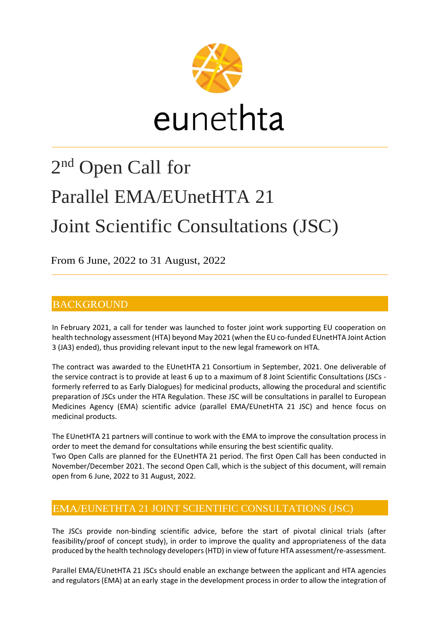

# 2<sup>nd</sup> Open Call for Parallel EMA/EUnetHTA 21 Joint Scientific Consultations (JSC)

From 6 June, 2022 to 31 August, 2022

open from 6 June, 2022 to 31 August, 2022.

# **BACKGROUND**

In February 2021, a call for tender was launched to foster joint work supporting EU cooperation on health technology assessment (HTA) beyond May 2021 (when the EU co-funded EUnetHTA Joint Action 3 (JA3) ended), thus providing relevant input to the new legal framework on HTA.

The contract was awarded to the EUnetHTA 21 Consortium in September, 2021. One deliverable of the service contract is to provide at least 6 up to a maximum of 8 Joint Scientific Consultations (JSCs formerly referred to as Early Dialogues) for medicinal products, allowing the procedural and scientific preparation of JSCs under the HTA Regulation. These JSC will be consultations in parallel to European Medicines Agency (EMA) scientific advice (parallel EMA/EUnetHTA 21 JSC) and hence focus on medicinal products.

The EUnetHTA 21 partners will continue to work with the EMA to improve the consultation process in order to meet the demand for consultations while ensuring the best scientific quality. Two Open Calls are planned for the EUnetHTA 21 period. The first Open Call has been conducted in November/December 2021. The second Open Call, which is the subject of this document, will remain

## EMA/EUNETHTA 21 JOINT SCIENTIFIC CONSULTATIONS (JSC)

The JSCs provide non-binding scientific advice, before the start of pivotal clinical trials (after feasibility/proof of concept study), in order to improve the quality and appropriateness of the data produced by the health technology developers(HTD) in view of future HTA assessment/re-assessment.

Parallel EMA/EUnetHTA 21 JSCs should enable an exchange between the applicant and HTA agencies and regulators (EMA) at an early stage in the development process in order to allow the integration of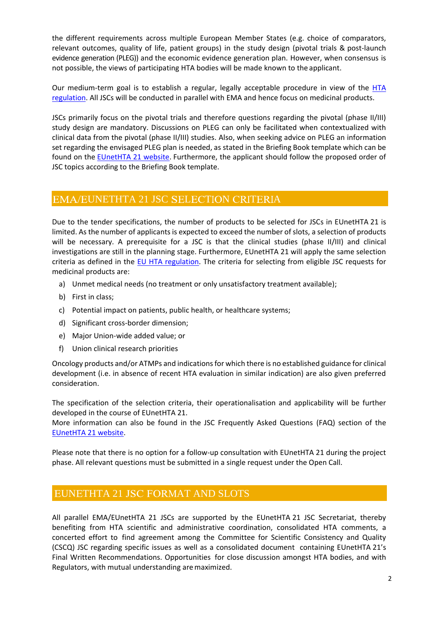the different requirements across multiple European Member States (e.g. choice of comparators, relevant outcomes, quality of life, patient groups) in the study design (pivotal trials & post-launch evidence generation (PLEG)) and the economic evidence generation plan. However, when consensus is not possible, the views of participating HTA bodies will be made known to the applicant.

Our medium-term goal is to establish a regular, legally acceptable procedure in view of the HTA [regulation.](https://eur-lex.europa.eu/legal-content/EN/ALL/?uri=CELEX:32021R2282) All JSCs will be conducted in parallel with EMA and hence focus on medicinal products.

JSCs primarily focus on the pivotal trials and therefore questions regarding the pivotal (phase II/III) study design are mandatory. Discussions on PLEG can only be facilitated when contextualized with clinical data from the pivotal (phase II/III) studies. Also, when seeking advice on PLEG an information set regarding the envisaged PLEG plan is needed, as stated in the Briefing Book template which can be found on the [EUnetHTA 21 website.](https://www.eunethta.eu/jointhtawork/parallel-consultation/) Furthermore, the applicant should follow the proposed order of JSC topics according to the Briefing Book template.

### EMA/EUNETHTA 21 JSC SELECTION CRITERIA

Due to the tender specifications, the number of products to be selected for JSCs in EUnetHTA 21 is limited. As the number of applicants is expected to exceed the number of slots, a selection of products will be necessary. A prerequisite for a JSC is that the clinical studies (phase II/III) and clinical investigations are still in the planning stage. Furthermore, EUnetHTA 21 will apply the same selection criteria as defined in the [EU HTA regulation.](https://eur-lex.europa.eu/legal-content/EN/ALL/?uri=CELEX:32021R2282) The criteria for selecting from eligible JSC requests for medicinal products are:

- a) Unmet medical needs (no treatment or only unsatisfactory treatment available);
- b) First in class;
- c) Potential impact on patients, public health, or healthcare systems;
- d) Significant cross-border dimension;
- e) Major Union-wide added value; or
- f) Union clinical research priorities

Oncology products and/or ATMPs and indications for which there is no established guidance for clinical development (i.e. in absence of recent HTA evaluation in similar indication) are also given preferred consideration.

The specification of the selection criteria, their operationalisation and applicability will be further developed in the course of EUnetHTA 21.

More information can also be found in the JSC Frequently Asked Questions (FAQ) section of the [EUnetHTA 21 website.](https://www.eunethta.eu/jointhtawork/parallel-consultation/)

Please note that there is no option for a follow-up consultation with EUnetHTA 21 during the project phase. All relevant questions must be submitted in a single request under the Open Call.

#### EUNETHTA 21 JSC FORMAT AND SLOTS

All parallel EMA/EUnetHTA 21 JSCs are supported by the EUnetHTA 21 JSC Secretariat, thereby benefiting from HTA scientific and administrative coordination, consolidated HTA comments, a concerted effort to find agreement among the Committee for Scientific Consistency and Quality (CSCQ) JSC regarding specific issues as well as a consolidated document containing EUnetHTA 21's Final Written Recommendations. Opportunities for close discussion amongst HTA bodies, and with Regulators, with mutual understanding aremaximized.